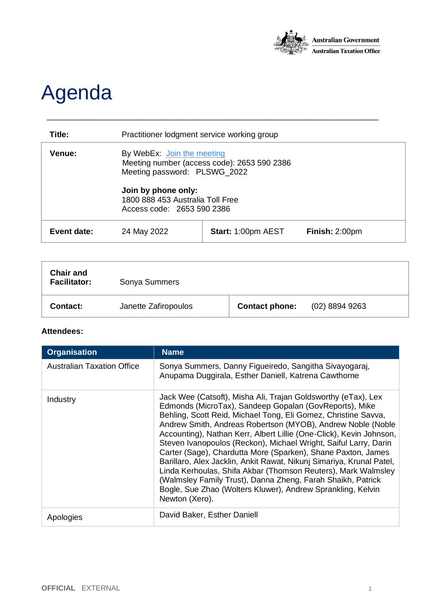

## Agenda

| Title:             | Practitioner lodgment service working group                                                                                                                                                        |                           |                |
|--------------------|----------------------------------------------------------------------------------------------------------------------------------------------------------------------------------------------------|---------------------------|----------------|
| Venue:             | By WebEx: Join the meeting<br>Meeting number (access code): 2653 590 2386<br>Meeting password: PLSWG_2022<br>Join by phone only:<br>1800 888 453 Australia Toll Free<br>Access code: 2653 590 2386 |                           |                |
| <b>Event date:</b> | 24 May 2022                                                                                                                                                                                        | <b>Start: 1:00pm AEST</b> | Finish: 2:00pm |

\_\_\_\_\_\_\_\_\_\_\_\_\_\_\_\_\_\_\_\_\_\_\_\_\_\_\_\_\_\_\_\_\_\_\_\_\_\_\_\_\_\_\_\_\_\_\_\_\_\_\_\_\_\_\_\_\_\_\_\_\_\_\_\_\_\_\_\_\_\_\_\_\_\_

| <b>Chair and</b><br><b>Facilitator:</b> | Sonya Summers        |                       |                |
|-----------------------------------------|----------------------|-----------------------|----------------|
| <b>Contact:</b>                         | Janette Zafiropoulos | <b>Contact phone:</b> | (02) 8894 9263 |

## **Attendees:**

| <b>Organisation</b>               | <b>Name</b>                                                                                                                                                                                                                                                                                                                                                                                                                                                                                                                                                                                                                                                                                                                                                  |
|-----------------------------------|--------------------------------------------------------------------------------------------------------------------------------------------------------------------------------------------------------------------------------------------------------------------------------------------------------------------------------------------------------------------------------------------------------------------------------------------------------------------------------------------------------------------------------------------------------------------------------------------------------------------------------------------------------------------------------------------------------------------------------------------------------------|
| <b>Australian Taxation Office</b> | Sonya Summers, Danny Figueiredo, Sangitha Sivayogaraj,<br>Anupama Duggirala, Esther Daniell, Katrena Cawthorne                                                                                                                                                                                                                                                                                                                                                                                                                                                                                                                                                                                                                                               |
| Industry                          | Jack Wee (Catsoft), Misha Ali, Trajan Goldsworthy (eTax), Lex<br>Edmonds (MicroTax), Sandeep Gopalan (GovReports), Mike<br>Behling, Scott Reid, Michael Tong, Eli Gomez, Christine Savva,<br>Andrew Smith, Andreas Robertson (MYOB), Andrew Noble (Noble<br>Accounting), Nathan Kerr, Albert Lillie (One-Click), Kevin Johnson,<br>Steven Ivanopoulos (Reckon), Michael Wright, Saiful Larry, Darin<br>Carter (Sage), Chardutta More (Sparken), Shane Paxton, James<br>Barillaro, Alex Jacklin, Ankit Rawat, Nikunj Simariya, Krunal Patel,<br>Linda Kerhoulas, Shifa Akbar (Thomson Reuters), Mark Walmsley<br>(Walmsley Family Trust), Danna Zheng, Farah Shaikh, Patrick<br>Bogle, Sue Zhao (Wolters Kluwer), Andrew Sprankling, Kelvin<br>Newton (Xero). |
| Apologies                         | David Baker, Esther Daniell                                                                                                                                                                                                                                                                                                                                                                                                                                                                                                                                                                                                                                                                                                                                  |